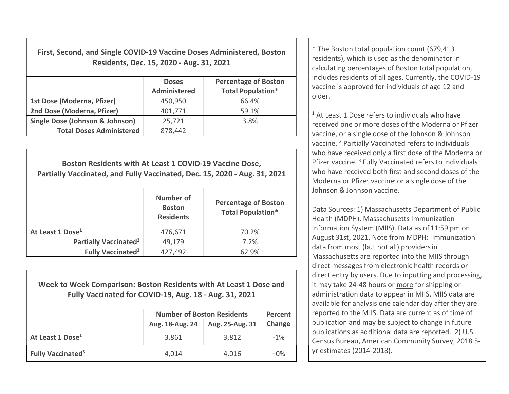First, Second, and Single COVID-19 Vaccine Doses Administered, Boston Residents, Dec. 15, 2020 - Aug. 31, 2021

|                                            | <b>Doses</b><br><b>Administered</b> | <b>Percentage of Boston</b><br><b>Total Population*</b> |
|--------------------------------------------|-------------------------------------|---------------------------------------------------------|
| 1st Dose (Moderna, Pfizer)                 | 450,950                             | 66.4%                                                   |
| 2nd Dose (Moderna, Pfizer)                 | 401,771                             | 59.1%                                                   |
| <b>Single Dose (Johnson &amp; Johnson)</b> | 25,721                              | 3.8%                                                    |
| <b>Total Doses Administered</b>            | 878,442                             |                                                         |

Boston Residents with At Least 1 COVID-19 Vaccine Dose, Partially Vaccinated, and Fully Vaccinated, Dec. 15, 2020 - Aug. 31, 2021 Number of Boston **Residents** Percentage of Boston Total Population\* At Least 1 Dose<sup>1</sup> 176,671 70.2% Partially Vaccinated<sup>2</sup>  $\vert$  49,179  $\vert$  7.2% Fully Vaccinated<sup>3</sup>  $427,492$   $62.9\%$ 

Week to Week Comparison: Boston Residents with At Least 1 Dose and Fully Vaccinated for COVID-19, Aug. 18 - Aug. 31, 2021

|                               | <b>Number of Boston Residents</b> | Percent         |        |
|-------------------------------|-----------------------------------|-----------------|--------|
|                               | Aug. 18-Aug. 24                   | Aug. 25-Aug. 31 | Change |
| At Least 1 Dose <sup>1</sup>  | 3,861                             | 3,812           | $-1\%$ |
| Fully Vaccinated <sup>3</sup> | 4,014                             | 4,016           | $+0\%$ |

\* The Boston total population count (679,413 residents), which is used as the denominator in calculating percentages of Boston total population, includes residents of all ages. Currently, the COVID-19 vaccine is approved for individuals of age 12 and older.

<sup>1</sup> At Least 1 Dose refers to individuals who have received one or more doses of the Moderna or Pfizer vaccine, or a single dose of the Johnson & Johnson vaccine. <sup>2</sup> Partially Vaccinated refers to individuals who have received only a first dose of the Moderna or Pfizer vaccine.<sup>3</sup> Fully Vaccinated refers to individuals who have received both first and second doses of the Moderna or Pfizer vaccine or a single dose of the Johnson & Johnson vaccine.

Data Sources: 1) Massachusetts Department of Public Health (MDPH), Massachusetts Immunization Information System (MIIS). Data as of 11:59 pm on August 31st, 2021. Note from MDPH: Immunization data from most (but not all) providersin Massachusetts are reported into the MIIS through direct messages from electronic health records or direct entry by users. Due to inputting and processing, it may take 24-48 hours or more for shipping or administration data to appear in MIIS. MIIS data are available for analysis one calendar day after they are reported to the MIIS. Data are current as of time of publication and may be subject to change in future publications as additional data are reported. 2) U.S. Census Bureau, American Community Survey, 2018 5 yr estimates (2014-2018).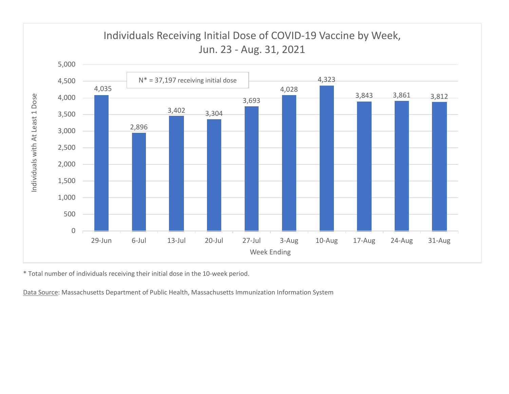

\* Total number of individuals receiving their initial dose in the 10-week period.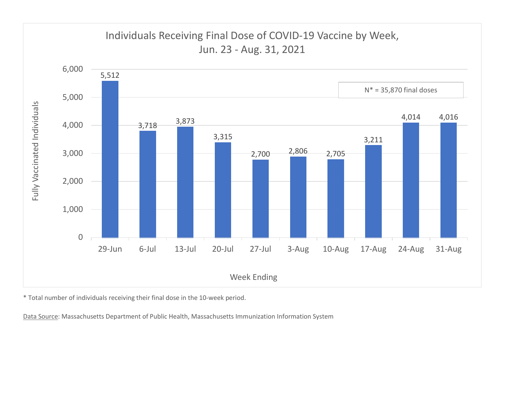

\* Total number of individuals receiving their final dose in the 10-week period.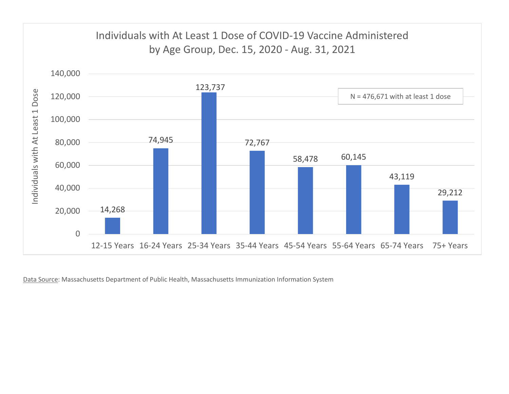

Data Source: Massachusetts Department of Public Health, Massachusetts Immunization Information System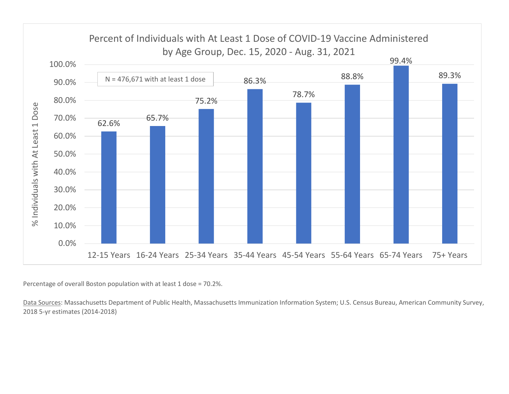

Percentage of overall Boston population with at least 1 dose = 70.2%.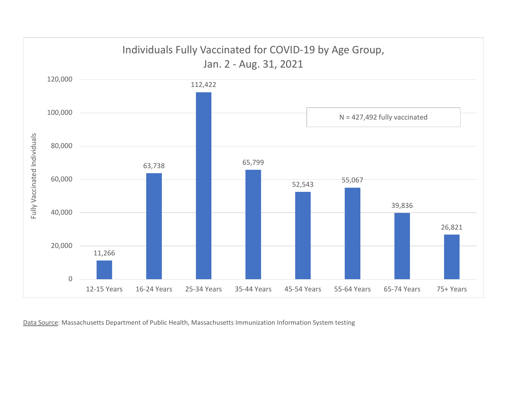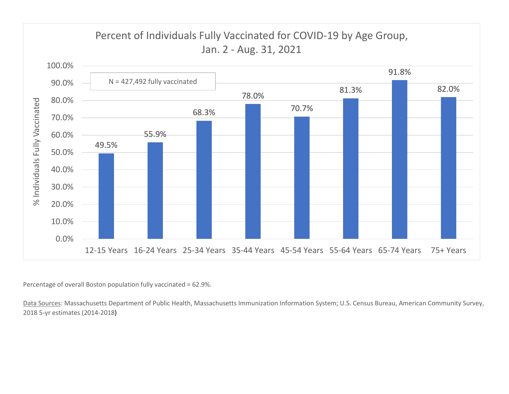

Percentage of overall Boston population fully vaccinated = 62.9%.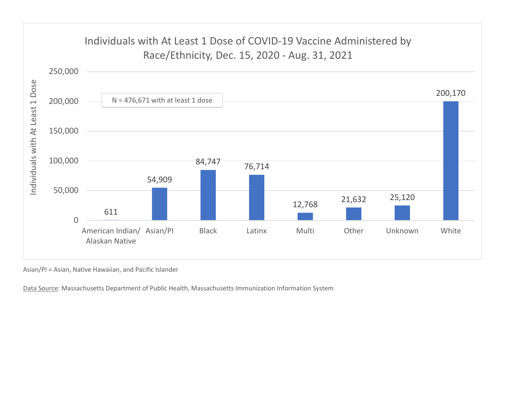

Asian/PI = Asian, Native Hawaiian, and Pacific Islander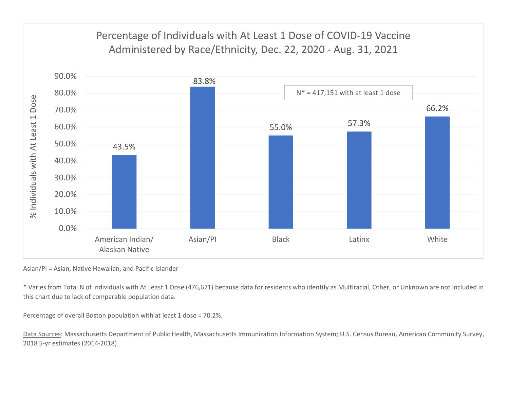

Asian/PI = Asian, Native Hawaiian, and Pacific Islander

\* Varies from Total N of Individuals with At Least 1 Dose (476,671) because data for residents who identify as Multiracial, Other, or Unknown are not included in this chart due to lack of comparable population data.

Percentage of overall Boston population with at least 1 dose = 70.2%.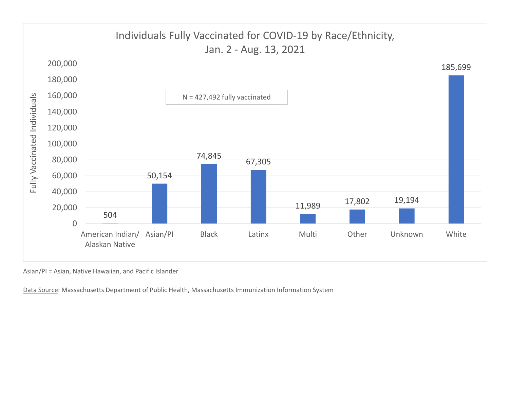

Asian/PI = Asian, Native Hawaiian, and Pacific Islander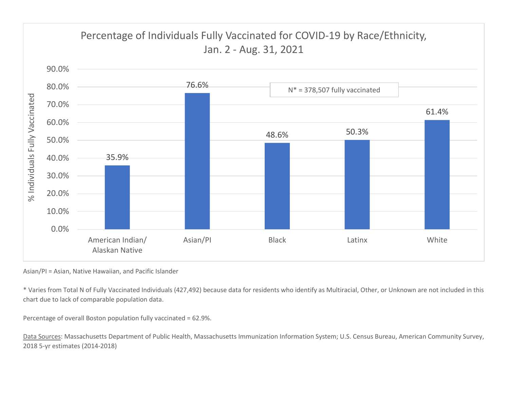

Asian/PI = Asian, Native Hawaiian, and Pacific Islander

\* Varies from Total N of Fully Vaccinated Individuals (427,492) because data for residents who identify as Multiracial, Other, or Unknown are not included in this chart due to lack of comparable population data.

Percentage of overall Boston population fully vaccinated = 62.9%.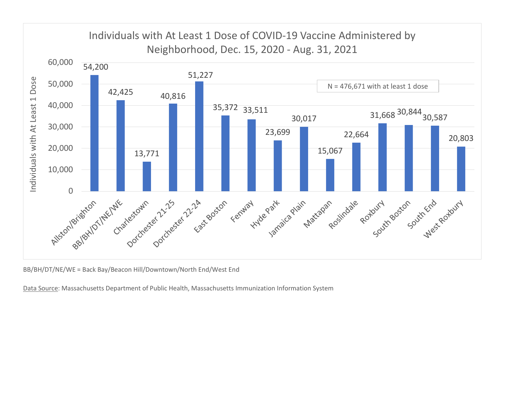

BB/BH/DT/NE/WE = Back Bay/Beacon Hill/Downtown/North End/West End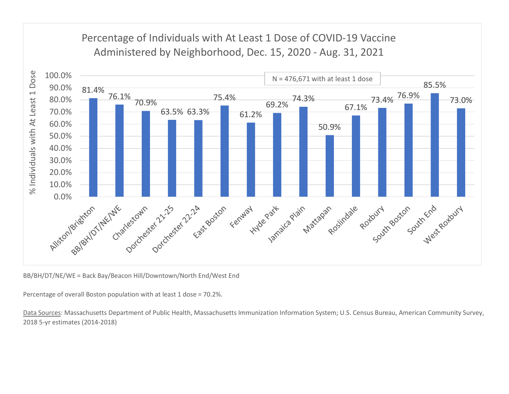

BB/BH/DT/NE/WE = Back Bay/Beacon Hill/Downtown/North End/West End

Percentage of overall Boston population with at least 1 dose = 70.2%.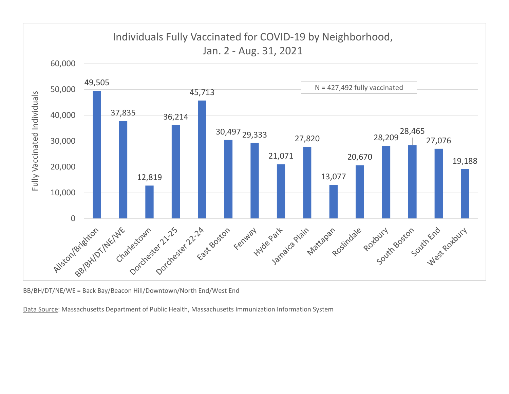

BB/BH/DT/NE/WE = Back Bay/Beacon Hill/Downtown/North End/West End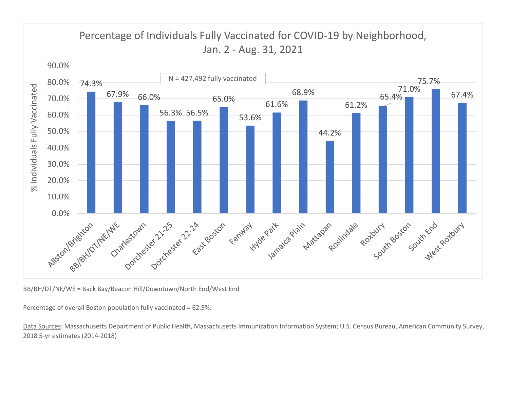

BB/BH/DT/NE/WE = Back Bay/Beacon Hill/Downtown/North End/West End

Percentage of overall Boston population fully vaccinated = 62.9%.